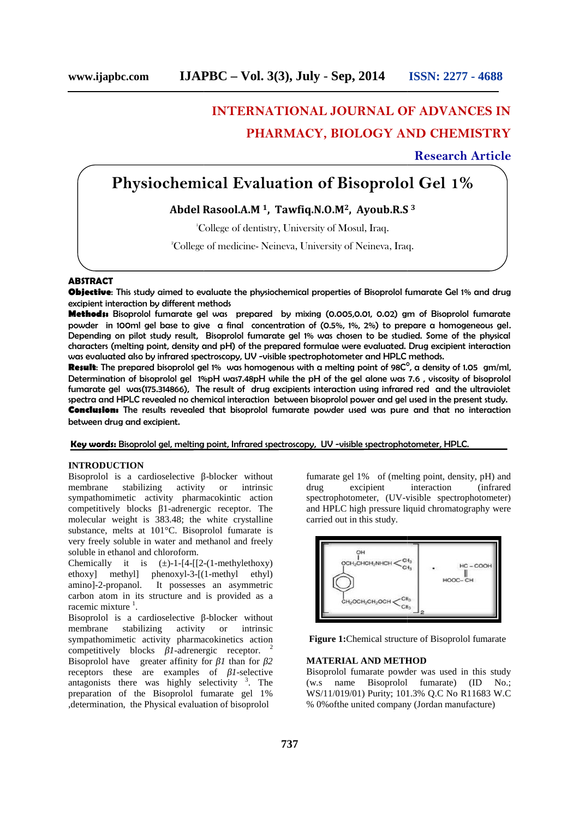# **INTERNATIONAL JOURNAL OF ADVANCES IN**

# **PHARMACY, BIOLOGY AND CHEMISTRY**

**Research Article**

# **Physiochemical Evaluation of Bisoprolol Gel 1%**

**Abdel Rasool.A.M <sup>1</sup>, Tawfiq.N.O.M2, Ayoub.R.S <sup>3</sup>**

<sup>1</sup>College of dentistry, University of Mosul, Iraq.

<sup>2</sup>College of medicine- Neineva, University of Neineva, Iraq.

### **ABSTRACT**

**Objective**: This study aimed to evaluate the physiochemical properties of Bisoprolol fumarate Gel 1% and drug **Objective**excipient interaction by different methods

**Methods:** Bisoprolol fumarate gel was prepared by mixing (0.005,0.01, 0.02) gm of Bisoprolol fumarate powder in 100ml gel base to give a final concentration of (0.5%, 1%, 2%) to prepare a homogeneous gel. Depending on pilot study result, Bisoprolol fumarate gel 1% was chosen to be studied. Some of the physical characters (melting point, density and pH) of the prepared formulae were evaluated. Drug excipient interaction was evaluated also by infrared spectroscopy, UV -visible spectrophotometer and HPLC methods.

**Result:** The prepared bisoprolol gel 1% was homogenous with a melting point of 98C $^{\circ}$ , a density of 1.05  $\,$  gm/ml, Determination of bisoprolol gel 1%pH was7.48pH while the pH of the gel alone was 7.6 , viscosity of bisoprolol fumarate gel was(175.314866), The result of drug excipients interaction using infrared red and the ultraviolet spectra and HPLC revealed no chemical interaction between bisoprolol power and gel used in the present study. **Conclusion:** The results revealed that bisoprolol fumarate powder used was pure and that no interaction between drug and excipient. **Methods:** Bisoprolol fumarate gel was prepared by mixing (0.005,0.01, 0.02) gm of Bisoprolol fumarate powder in 100ml gel base to give a final concentration of (0.5%, 1%, 2%) to prepare a homogeneous gel. Depending on pi **EXECTIONAL JOURNAL OF ADVANCES IN**<br> **PHARMACY, BIOLOGY AND RESERVENT VIOLATION CONTRAPY (CONTRAPY)**<br> **Physiochemical Evaluation of Bisoprolol Gel 1%<br>
Andel Rassod.A.M <sup>1</sup>, Tavering vol.M<sub>igra</sub>, Lag.<br>
College of densitivi** % a melting point of 98C°, a density of 1.05 gm/ml,<br>H of the gel alone was 7.6, viscosity of bisoprolol<br>interaction using infrared red and the ultraviolet<br>bisoprolol power and gel used in the present study.<br>powder used wa

**Key words:** Bisoprolol gel, melting point, Infrared spectroscopy, UV -visible spectrophotometer, HPLC.

#### **INTRODUCTION**

Bisoprolol is a cardioselective -blocker without membrane stabilizing activity or intrinsic sympathomimetic activity pharmacokintic action competitively blocks 1-adrenergic receptor. The competitively blocks 1-adrenergic receptor. The<br>molecular weight is 383.48; the white crystalline substance, melts at 101°C. Bisoprolol fumarate is very freely soluble in water and methanol and freely soluble in ethanol and chloroform.

Chemically it is  $(\pm)$ -1-[4-[[2-(1-methylethoxy) ethoxy] methyl] phenoxyl-3-[(1-methyl ethyl) amino]-2-propanol. It possesses an asymmetric carbon atom in its structure and is provided as a racemic mixture <sup>1</sup>.

Bisoprolol is a cardioselective -blocker without membrane stabilizing activity or intrinsic sympathomimetic activity pharmacokinetics action competitively blocks *l*-adrenergic receptor. Bisoprolol have greater affinity for *l* than for 2 receptors these are examples of *l*-selective antagonists there was highly selectivity  $3$ . The preparation of the Bisoprolol fumarate gel 1% ,determination, the Physical evaluation of bisoprolol

fumarate gel 1% of (melting point, density, pH) and drug excipient interaction (infrared spectrophotometer, (UV-visible spectrophotometer) and HPLC high pressure liquid chromatography were carried out in this study.



**Figure 1:**Chemical structure of Bisoprolol fumarate

#### **MATERIAL AND METHOD**

Bisoprolol fumarate powder was used in this study (w.s name Bisoprolol fumarate) (ID No.; WS/11/019/01) Purity; 101.3% Q.C No R11683 W.C % 0%ofthe united company (Jordan manufacture)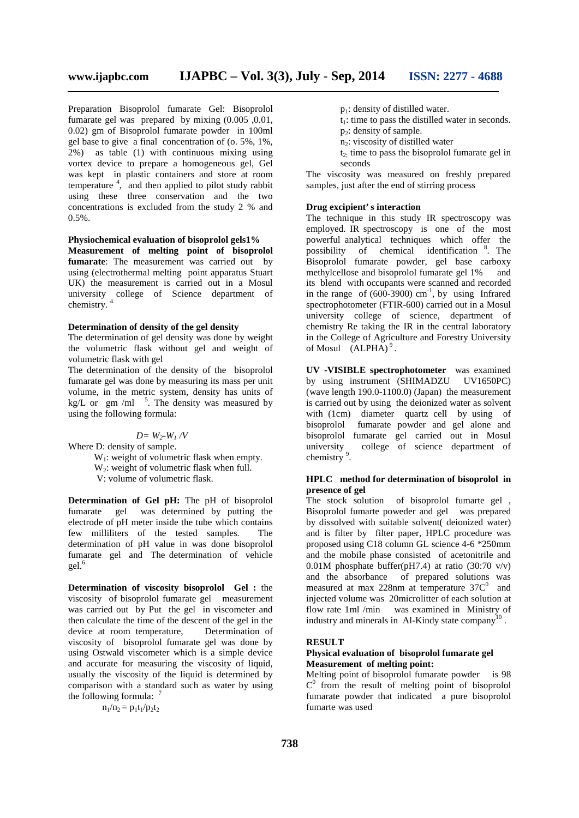Preparation Bisoprolol fumarate Gel: Bisoprolol fumarate gel was prepared by mixing (0.005 ,0.01, 0.02) gm of Bisoprolol fumarate powder in 100ml gel base to give a final concentration of (o. 5%, 1%, 2%) as table (1) with continuous mixing using vortex device to prepare a homogeneous gel, Gel was kept in plastic containers and store at room temperature <sup>4</sup> , and then applied to pilot study rabbit using these three conservation and the two concentrations is excluded from the study 2 % and 0.5%.

# **Physiochemical evaluation of bisoprolol gels1%**

**Measurement of melting point of bisoprolol fumarate**: The measurement was carried out by using (electrothermal melting point apparatus Stuart UK) the measurement is carried out in a Mosul university college of Science department of chemistry. 4.

#### **Determination of density of the gel density**

The determination of gel density was done by weight the volumetric flask without gel and weight of volumetric flask with gel

The determination of the density of the bisoprolol fumarate gel was done by measuring its mass per unit volume, in the metric system, density has units of  $kg/L$  or  $gm / ml$  <sup>5</sup>. The density was measured by i using the following formula:

#### *D*=  $W_2$ *-W<sub>1</sub></sub> /V*

Where D: density of sample.

 $W_1$ : weight of volumetric flask when empty.  $W_2$ : weight of volumetric flask when full. V: volume of volumetric flask.

**Determination of Gel pH:** The pH of bisoprolol fumarate gel was determined by putting the electrode of pH meter inside the tube which contains few milliliters of the tested samples. The determination of pH value in was done bisoprolol fumarate gel and The determination of vehicle gel.<sup>6</sup>

**Determination of viscosity bisoprolol Gel :** the viscosity of bisoprolol fumarate gel measurement was carried out by Put the gel in viscometer and then calculate the time of the descent of the gel in the device at room temperature, Determination of viscosity of bisoprolol fumarate gel was done by using Ostwald viscometer which is a simple device and accurate for measuring the viscosity of liquid, usually the viscosity of the liquid is determined by comparison with a standard such as water by using the following formula: <sup>7</sup>

 $n_1/n_2 = p_1t_1/p_2t_2$ 

p1: density of distilled water.

 $t_1$ : time to pass the distilled water in seconds.

 $p_2$ : density of sample. n<sub>2</sub>: viscosity of distilled water

 $t<sub>2</sub>$  time to pass the bisoprolol fumarate gel in seconds

The viscosity was measured on freshly prepared samples, just after the end of stirring process

### **Drug excipient's interaction**

The technique in this study IR spectroscopy was employed. IR spectroscopy is one of the most powerful analytical techniques which offer the possibility of chemical identification <sup>8</sup>. The Bisoprolol fumarate powder, gel base carboxy methylcellose and bisoprolol fumarate gel 1% and its blend with occupants were scanned and recorded in the range of  $(600-3900)$  cm<sup>-1</sup>, by using Infrared spectrophotometer (FTIR-600) carried out in a Mosul university college of science, department of chemistry Re taking the IR in the central laboratory in the College of Agriculture and Forestry University of Mosul  $(ALPHA)^9$ .

**UV -VISIBLE spectrophotometer** was examined by using instrument (SHIMADZU UV1650PC) (wave length 190.0-1100.0) (Japan) the measurement is carried out by using the deionized water as solvent with (1cm) diameter quartz cell by using of bisoprolol fumarate powder and gel alone and bisoprolol fumarate gel carried out in Mosul college of science department of chemistry<sup>9</sup>.

#### **HPLC method for determination of bisoprolol in presence of gel**

The stock solution of bisoprolol fumarte gel Bisoprolol fumarte poweder and gel was prepared by dissolved with suitable solvent( deionized water) and is filter by filter paper, HPLC procedure was proposed using C18 column GL science 4-6 \*250mm and the mobile phase consisted of acetonitrile and 0.01M phosphate buffer(pH7.4) at ratio (30:70 v/v) and the absorbance of prepared solutions was measured at max 228nm at temperature  $37C<sup>0</sup>$  and injected volume was 20microlitter of each solution at flow rate 1ml /min was examined in Ministry of industry and minerals in Al-Kindy state company $^{10}$ .

# **RESULT**

## **Physical evaluation of bisoprolol fumarate gel Measurement of melting point:**

Melting point of bisoprolol fumarate powder is 98  $C<sup>0</sup>$  from the result of melting point of bisoprolol fumarate powder that indicated a pure bisoprolol fumarte was used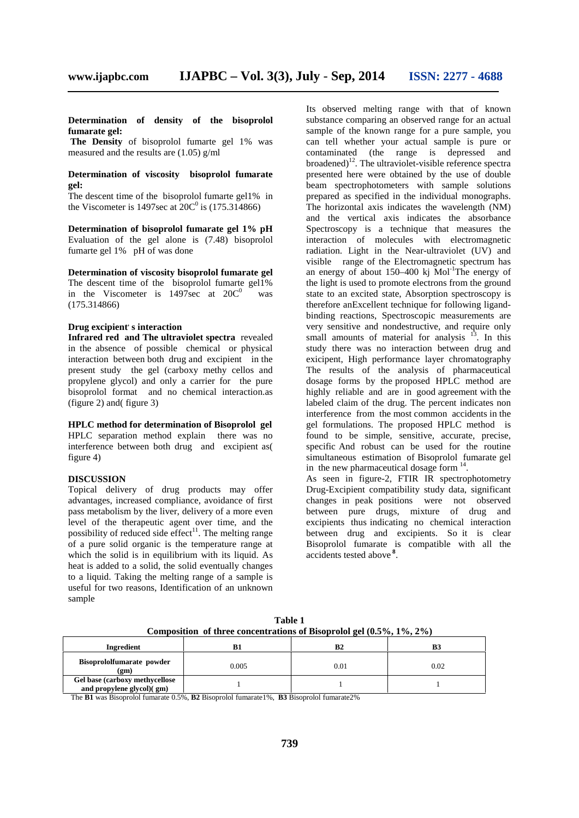#### **Determination of density of the bisoprolol fumarate gel:**

**The Density** of bisoprolol fumarte gel 1% was measured and the results are (1.05) g/ml

## **Determination of viscosity bisoprolol fumarate gel:**

The descent time of the bisoprolol fumarte gel1% in the Viscometer is 1497sec at  $20C^0$  is  $(175.314866)$ 

**Determination of bisoprolol fumarate gel 1% pH** Evaluation of the gel alone is (7.48) bisoprolol fumarte gel 1% pH of was done

**Determination of viscosity bisoprolol fumarate gel** The descent time of the bisoprolol fumarte gel1% in the Viscometer is 1497sec at  $20C^0$  was (175.314866)

## **Drug excipient, s interaction**

**Infrared red and The ultraviolet spectra** revealed in the absence of possible chemical or physical interaction between both drug and excipient in the present study the gel (carboxy methy cellos and propylene glycol) and only a carrier for the pure bisoprolol format and no chemical interaction.as (figure 2) and( figure 3)

**HPLC method for determination of Bisoprolol gel** HPLC separation method explain there was no interference between both drug and excipient as( figure 4)

#### **DISCUSSION**

Topical delivery of drug products may offer advantages, increased compliance, avoidance of first pass metabolism by the liver, delivery of a more even level of the therapeutic agent over time, and the possibility of reduced side effect<sup>11</sup>. The melting range of a pure solid organic is the temperature range at which the solid is in equilibrium with its liquid. As heat is added to a solid, the solid eventually changes to a liquid. Taking the melting range of a sample is useful for two reasons, Identification of an unknown sample

Its observed melting range with that of known substance comparing an observed range for an actual sample of the known range for a pure sample, you can tell whether your actual sample is pure or contaminated (the range is depressed and broadened)<sup>12</sup>. The ultraviolet-visible reference spectra presented here were obtained by the use of double beam spectrophotometers with sample solutions prepared as specified in the individual monographs. The horizontal axis indicates the wavelength (NM) and the vertical axis indicates the absorbance Spectroscopy is a technique that measures the interaction of molecules with electromagnetic radiation. Light in the Near-ultraviolet (UV) and visible range of the Electromagnetic spectrum has an energy of about  $150-400$  kj Mol<sup>-1</sup>The energy of the light is used to promote electrons from the ground state to an excited state, Absorption spectroscopy is therefore anExcellent technique for following ligand binding reactions, Spectroscopic measurements are very sensitive and nondestructive, and require only small amounts of material for analysis  $13$ . In this study there was no interaction between drug and exicipent, High performance layer chromatography The results of the analysis of pharmaceutical dosage forms by the proposed HPLC method are highly reliable and are in good agreement with the labeled claim of the drug. The percent indicates non interference from the most common accidents in the gel formulations. The proposed HPLC method is found to be simple, sensitive, accurate, precise, specific And robust can be used for the routine simultaneous estimation of Bisoprolol fumarate gel in the new pharmaceutical dosage form <sup>14</sup>.

As seen in figure-2, FTIR IR spectrophotometry Drug-Excipient compatibility study data, significant changes in peak positions were not observed between pure drugs, mixture of drug and excipients thus indicating no chemical interaction between drug and excipients. So it is clear Bisoprolol fumarate is compatible with all the accidents tested above **<sup>8</sup>** .

**Table 1 Composition of three concentrations of Bisoprolol gel (0.5%, 1%, 2%)**

| Ingredient                                                   | B1    |      | B3   |
|--------------------------------------------------------------|-------|------|------|
| Bisoprololfumarate powder<br>(gm)                            | 0.005 | 0.01 | 0.02 |
| Gel base (carboxy methycellose<br>and propylene glycol)( gm) |       |      |      |

The **B1** was Bisoprolol fumarate 0.5%, **B2** Bisoprolol fumarate1%, **B3** Bisoprolol fumarate2%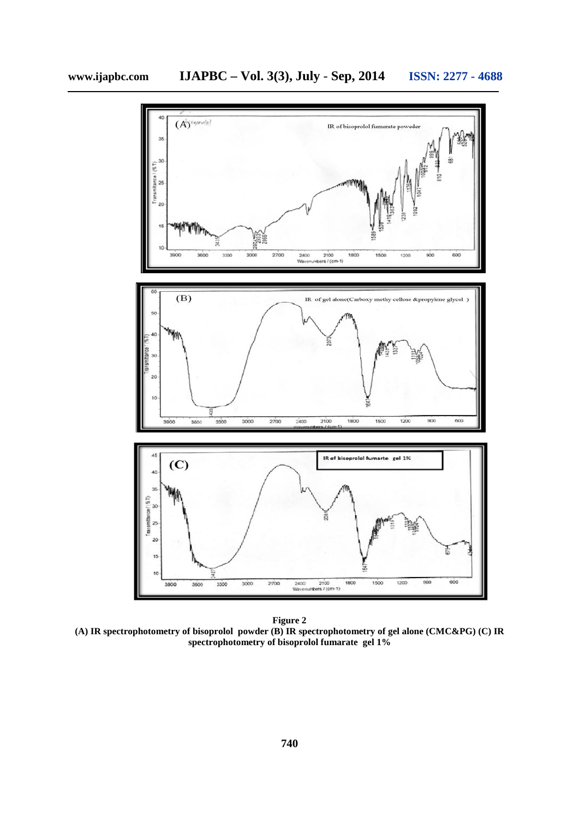

**Figure 2 (A) IR spectrophotometry of bisoprolol powder (B) IR spectrophotometry of gel alone (CMC&PG) (C) IR spectrophotometry of bisoprolol fumarate gel 1%**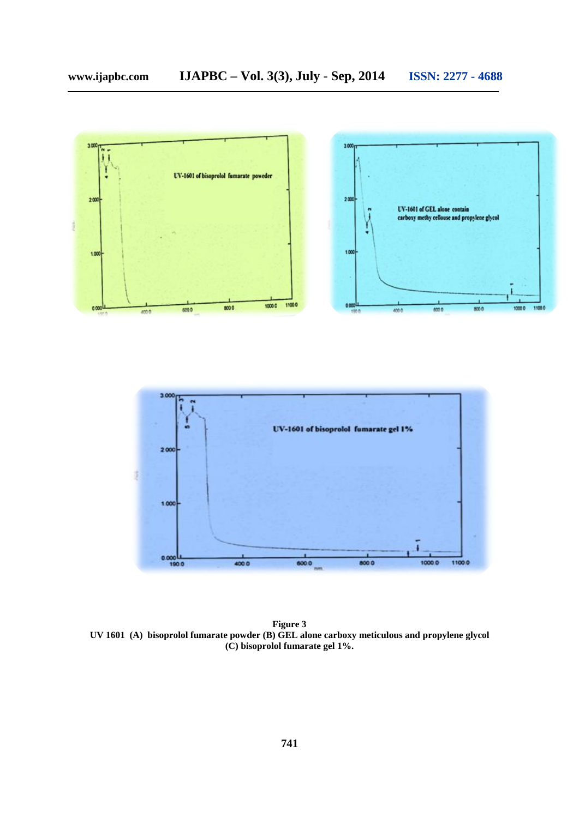



**Figure 3 UV 1601 (A) bisoprolol fumarate powder (B) GEL alone carboxy meticulous and propylene glycol (C) bisoprolol fumarate gel 1%.**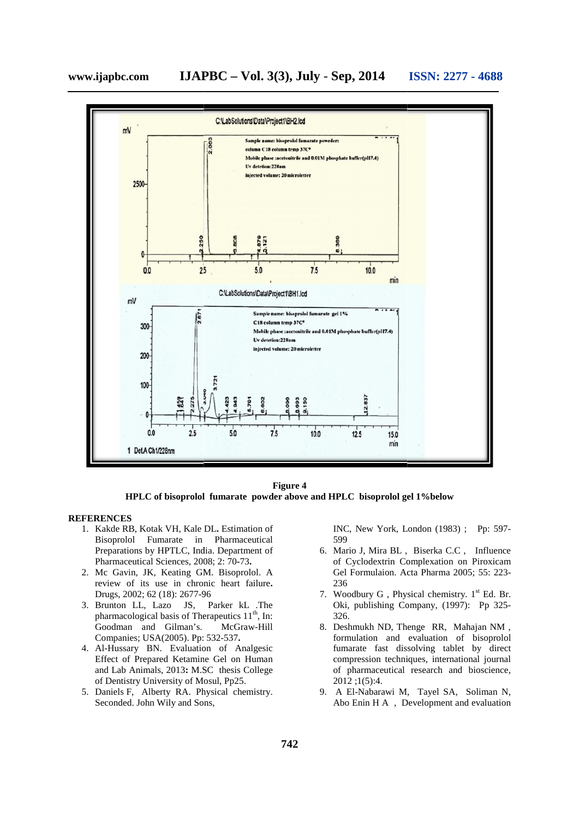

**Figure 4 HPLC of bisoprolol fumarate powder above and HPLC bisoprolol gel 1%below**

## **REFERENCES**

- 1. Kakde RB, Kotak VH, Kale DL**.** Estimation of Bisoprolol Fumarate in Pharmaceutical Preparations by HPTLC, India. Department of Pharmaceutical Sciences, 2008; 2: 70**-**73**.** Kakde RB, Kotak VH, Kale DL. Estir<br>Bisoprolol Fumarate in Pharm<br>Preparations by HPTLC, India. Depar<br>Pharmaceutical Sciences, 2008; 2: 70-
- 2. Mc Gavin, JK, Keating GM. Bisoprolol. A review of its use in chronic heart failure**.** Drugs, 2002; 62 (18): 2677-96 Mc Gavin, JK, Keating GM. Bisoprolol. A<br>review of its use in chronic heart failure.<br>Drugs, 2002; 62 (18): 2677-96<br>Brunton LL, Lazo JS, Parker kL .The<br>pharmacological basis of Therapeutics 11<sup>th</sup>, In:
- 3. Brunton LL, Lazo JS, Parker kL .The Goodman and Gilman's. McGraw-Hill Gilman's. McGrawCompanies; USA(2005). Pp: 532-537**.**
- 4. Al-Hussary BN. Evaluation of Analgesic Effect of Prepared Ketamine Gel on Human and Lab Animals, 2013**:** M.SC thesis College of Dentistry University of Mosul, Pp25.
- 5. Daniels F, Alberty RA. Physical chemistry. Seconded. John Wily and Sons,

INC, New York, London (1983) ; Pp: 597- 599

- 6. Mario J, Mira BL , Biserka C.C , Influence of Cyclodextrin Complexation on Piroxicam Gel Formulaion. Acta Pharma 2005; 55: 223- 236
- 7. Woodbury G, Physical chemistry.  $1<sup>st</sup>$  Ed. Br. Oki, publishing Company, (1997): Pp 325- 326.
- 8. Deshmukh ND, Thenge RR, Mahajan NM , formulation and evaluation of bisoprolol fumarate fast dissolving tablet by direct compression techniques, international journal of pharmaceutical research and bioscience, 2012 ;1(5):4. **EXECT THE SET ANTIFUL SIGNATION CONSUMBED SOLUT AND SOLUTE (15 Min DL. FIRITELC, Indian Department of TLC, Indian Department of the MC (Neoled Britannic Consequence, 2008; 2:70-73.<br>
and Department of the Cyclodextrin Comp** 
	- 9. A El-Nabarawi M, Tayel SA, Soliman N, Abo Enin H A , Development and evaluation